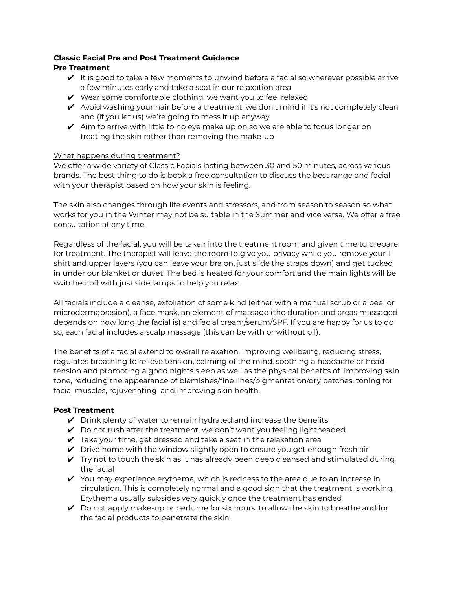## **Classic Facial Pre and Post Treatment Guidance Pre Treatment**

- $\vee$  It is good to take a few moments to unwind before a facial so wherever possible arrive a few minutes early and take a seat in our relaxation area
- $\vee$  Wear some comfortable clothing, we want you to feel relaxed
- $\vee$  Avoid washing your hair before a treatment, we don't mind if it's not completely clean and (if you let us) we're going to mess it up anyway
- $\vee$  Aim to arrive with little to no eye make up on so we are able to focus longer on treating the skin rather than removing the make-up

## What happens during treatment?

We offer a wide variety of Classic Facials lasting between 30 and 50 minutes, across various brands. The best thing to do is book a free consultation to discuss the best range and facial with your therapist based on how your skin is feeling.

The skin also changes through life events and stressors, and from season to season so what works for you in the Winter may not be suitable in the Summer and vice versa. We offer a free consultation at any time.

Regardless of the facial, you will be taken into the treatment room and given time to prepare for treatment. The therapist will leave the room to give you privacy while you remove your T shirt and upper layers (you can leave your bra on, just slide the straps down) and get tucked in under our blanket or duvet. The bed is heated for your comfort and the main lights will be switched off with just side lamps to help you relax.

All facials include a cleanse, exfoliation of some kind (either with a manual scrub or a peel or microdermabrasion), a face mask, an element of massage (the duration and areas massaged depends on how long the facial is) and facial cream/serum/SPF. If you are happy for us to do so, each facial includes a scalp massage (this can be with or without oil).

The benefits of a facial extend to overall relaxation, improving wellbeing, reducing stress, regulates breathing to relieve tension, calming of the mind, soothing a headache or head tension and promoting a good nights sleep as well as the physical benefits of improving skin tone, reducing the appearance of blemishes/fine lines/pigmentation/dry patches, toning for facial muscles, rejuvenating and improving skin health.

## **Post Treatment**

- $\vee$  Drink plenty of water to remain hydrated and increase the benefits
- $\vee$  Do not rush after the treatment, we don't want you feeling lightheaded.
- $\vee$  Take your time, get dressed and take a seat in the relaxation area
- $\triangleright$  Drive home with the window slightly open to ensure you get enough fresh air
- $\vee$  Try not to touch the skin as it has already been deep cleansed and stimulated during the facial
- $\checkmark$  You may experience erythema, which is redness to the area due to an increase in circulation. This is completely normal and a good sign that the treatment is working. Erythema usually subsides very quickly once the treatment has ended
- $\vee$  Do not apply make-up or perfume for six hours, to allow the skin to breathe and for the facial products to penetrate the skin.